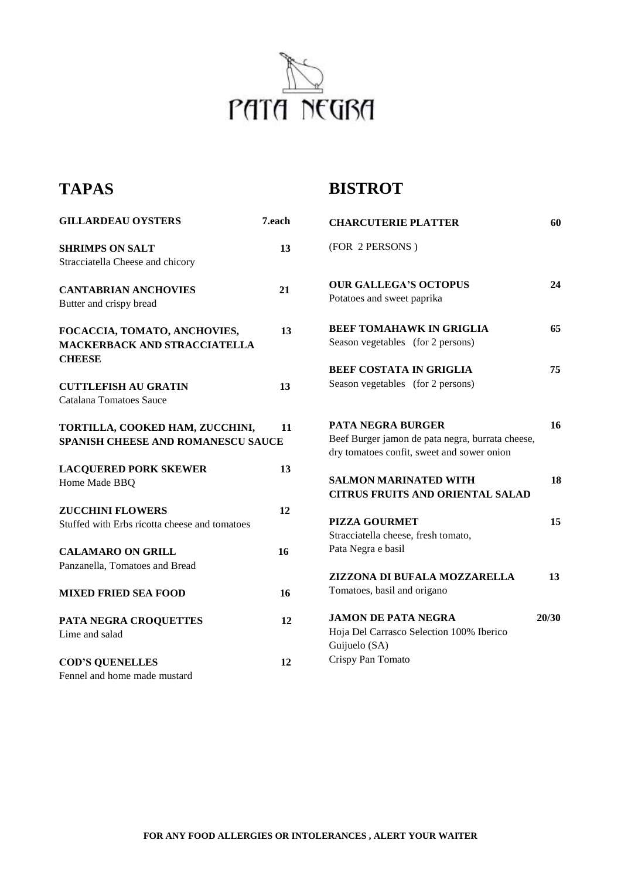

## **TAPAS**

## **BISTROT**

| <b>GILLARDEAU OYSTERS</b>                                                      | 7.each | <b>CHARCUTERIE PLATTER</b>                                                                                                 | 60    |
|--------------------------------------------------------------------------------|--------|----------------------------------------------------------------------------------------------------------------------------|-------|
| <b>SHRIMPS ON SALT</b><br>Stracciatella Cheese and chicory                     | 13     | (FOR 2 PERSONS)                                                                                                            |       |
| <b>CANTABRIAN ANCHOVIES</b><br>Butter and crispy bread                         | 21     | <b>OUR GALLEGA'S OCTOPUS</b><br>Potatoes and sweet paprika                                                                 | 24    |
| FOCACCIA, TOMATO, ANCHOVIES,<br>MACKERBACK AND STRACCIATELLA                   | 13     | <b>BEEF TOMAHAWK IN GRIGLIA</b><br>Season vegetables (for 2 persons)                                                       | 65    |
| <b>CHEESE</b><br><b>CUTTLEFISH AU GRATIN</b><br><b>Catalana Tomatoes Sauce</b> | 13     | <b>BEEF COSTATA IN GRIGLIA</b><br>Season vegetables (for 2 persons)                                                        | 75    |
| TORTILLA, COOKED HAM, ZUCCHINI,<br><b>SPANISH CHEESE AND ROMANESCU SAUCE</b>   | 11     | <b>PATA NEGRA BURGER</b><br>Beef Burger jamon de pata negra, burrata cheese,<br>dry tomatoes confit, sweet and sower onion | 16    |
| <b>LACQUERED PORK SKEWER</b><br>Home Made BBQ                                  | 13     | <b>SALMON MARINATED WITH</b><br><b>CITRUS FRUITS AND ORIENTAL SALAD</b>                                                    | 18    |
| <b>ZUCCHINI FLOWERS</b><br>Stuffed with Erbs ricotta cheese and tomatoes       | 12     | <b>PIZZA GOURMET</b><br>Stracciatella cheese, fresh tomato,                                                                | 15    |
| <b>CALAMARO ON GRILL</b><br>Panzanella, Tomatoes and Bread                     | 16     | Pata Negra e basil<br>ZIZZONA DI BUFALA MOZZARELLA                                                                         | 13    |
| <b>MIXED FRIED SEA FOOD</b>                                                    | 16     | Tomatoes, basil and origano                                                                                                |       |
| PATA NEGRA CROQUETTES<br>Lime and salad                                        | 12     | <b>JAMON DE PATA NEGRA</b><br>Hoja Del Carrasco Selection 100% Iberico<br>Guijuelo (SA)                                    | 20/30 |
| <b>COD'S QUENELLES</b><br>Fennel and home made mustard                         | 12     | Crispy Pan Tomato                                                                                                          |       |